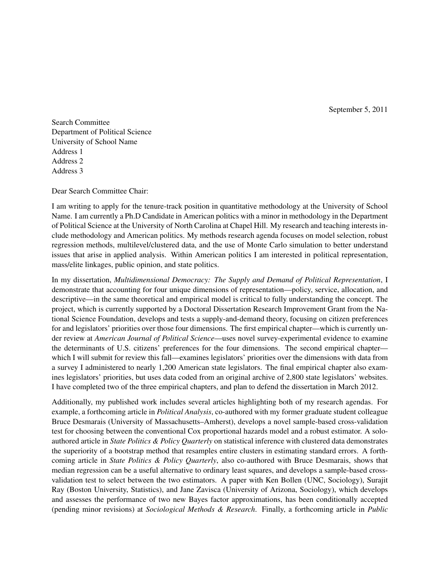September 5, 2011

Search Committee Department of Political Science University of School Name Address 1 Address 2 Address 3

Dear Search Committee Chair:

I am writing to apply for the tenure-track position in quantitative methodology at the University of School Name. I am currently a Ph.D Candidate in American politics with a minor in methodology in the Department of Political Science at the University of North Carolina at Chapel Hill. My research and teaching interests include methodology and American politics. My methods research agenda focuses on model selection, robust regression methods, multilevel/clustered data, and the use of Monte Carlo simulation to better understand issues that arise in applied analysis. Within American politics I am interested in political representation, mass/elite linkages, public opinion, and state politics.

In my dissertation, *Multidimensional Democracy: The Supply and Demand of Political Representation*, I demonstrate that accounting for four unique dimensions of representation—policy, service, allocation, and descriptive—in the same theoretical and empirical model is critical to fully understanding the concept. The project, which is currently supported by a Doctoral Dissertation Research Improvement Grant from the National Science Foundation, develops and tests a supply-and-demand theory, focusing on citizen preferences for and legislators' priorities over those four dimensions. The first empirical chapter—which is currently under review at *American Journal of Political Science*—uses novel survey-experimental evidence to examine the determinants of U.S. citizens' preferences for the four dimensions. The second empirical chapter which I will submit for review this fall—examines legislators' priorities over the dimensions with data from a survey I administered to nearly 1,200 American state legislators. The final empirical chapter also examines legislators' priorities, but uses data coded from an original archive of 2,800 state legislators' websites. I have completed two of the three empirical chapters, and plan to defend the dissertation in March 2012.

Additionally, my published work includes several articles highlighting both of my research agendas. For example, a forthcoming article in *Political Analysis*, co-authored with my former graduate student colleague Bruce Desmarais (University of Massachusetts–Amherst), develops a novel sample-based cross-validation test for choosing between the conventional Cox proportional hazards model and a robust estimator. A soloauthored article in *State Politics & Policy Quarterly* on statistical inference with clustered data demonstrates the superiority of a bootstrap method that resamples entire clusters in estimating standard errors. A forthcoming article in *State Politics & Policy Quarterly*, also co-authored with Bruce Desmarais, shows that median regression can be a useful alternative to ordinary least squares, and develops a sample-based crossvalidation test to select between the two estimators. A paper with Ken Bollen (UNC, Sociology), Surajit Ray (Boston University, Statistics), and Jane Zavisca (University of Arizona, Sociology), which develops and assesses the performance of two new Bayes factor approximations, has been conditionally accepted (pending minor revisions) at *Sociological Methods & Research*. Finally, a forthcoming article in *Public*